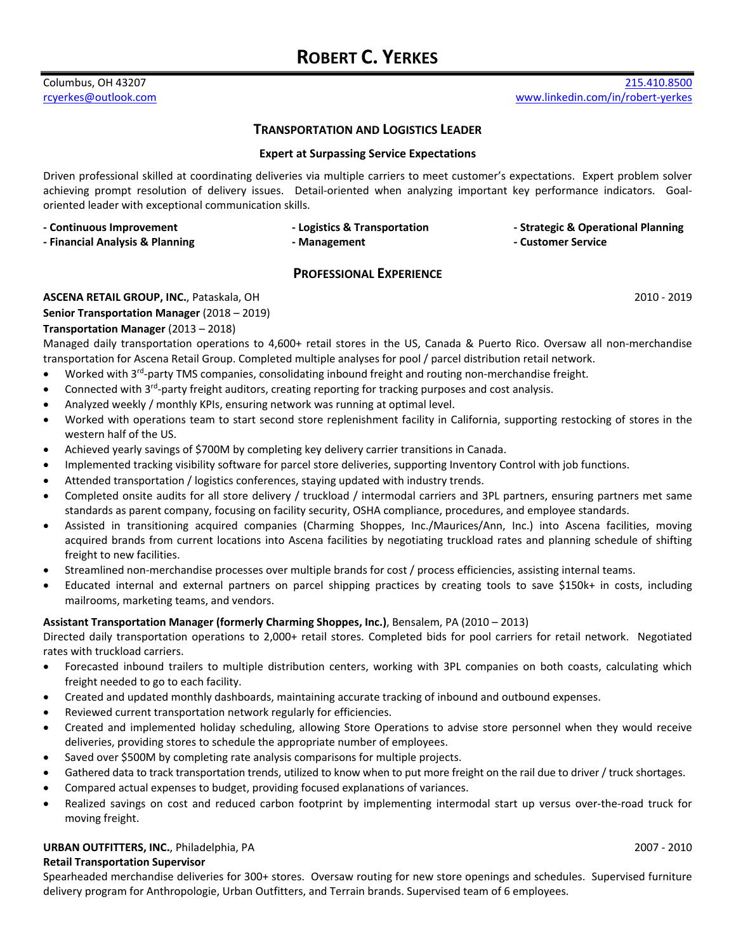# **ROBERT C. YERKES**

### **TRANSPORTATION AND LOGISTICS LEADER**

#### **Expert at Surpassing Service Expectations**

Driven professional skilled at coordinating deliveries via multiple carriers to meet customer's expectations. Expert problem solver achieving prompt resolution of delivery issues. Detail-oriented when analyzing important key performance indicators. Goaloriented leader with exceptional communication skills.

| - Continuous Improvement        | - Logistics & Transportation | - Strategic & Opera |
|---------------------------------|------------------------------|---------------------|
| - Financial Analysis & Planning | - Management                 | - Customer Service  |

**- Strategic & Operational Planning** 

# **PROFESSIONAL EXPERIENCE**

### **ASCENA RETAIL GROUP, INC.**, Pataskala, OH 2010 - 2019 **2010 - 2019**

**Senior Transportation Manager** (2018 – 2019)

### **Transportation Manager** (2013 – 2018)

Managed daily transportation operations to 4,600+ retail stores in the US, Canada & Puerto Rico. Oversaw all non-merchandise transportation for Ascena Retail Group. Completed multiple analyses for pool / parcel distribution retail network.

- Worked with 3<sup>rd</sup>-party TMS companies, consolidating inbound freight and routing non-merchandise freight.
- Connected with 3<sup>rd</sup>-party freight auditors, creating reporting for tracking purposes and cost analysis.
- Analyzed weekly / monthly KPIs, ensuring network was running at optimal level.
- Worked with operations team to start second store replenishment facility in California, supporting restocking of stores in the western half of the US.
- Achieved yearly savings of \$700M by completing key delivery carrier transitions in Canada.
- Implemented tracking visibility software for parcel store deliveries, supporting Inventory Control with job functions.
- Attended transportation / logistics conferences, staying updated with industry trends.
- Completed onsite audits for all store delivery / truckload / intermodal carriers and 3PL partners, ensuring partners met same standards as parent company, focusing on facility security, OSHA compliance, procedures, and employee standards.
- Assisted in transitioning acquired companies (Charming Shoppes, Inc./Maurices/Ann, Inc.) into Ascena facilities, moving acquired brands from current locations into Ascena facilities by negotiating truckload rates and planning schedule of shifting freight to new facilities.
- Streamlined non-merchandise processes over multiple brands for cost / process efficiencies, assisting internal teams.
- Educated internal and external partners on parcel shipping practices by creating tools to save \$150k+ in costs, including mailrooms, marketing teams, and vendors.

#### **Assistant Transportation Manager (formerly Charming Shoppes, Inc.)**, Bensalem, PA (2010 – 2013)

Directed daily transportation operations to 2,000+ retail stores. Completed bids for pool carriers for retail network. Negotiated rates with truckload carriers.

- Forecasted inbound trailers to multiple distribution centers, working with 3PL companies on both coasts, calculating which freight needed to go to each facility.
- Created and updated monthly dashboards, maintaining accurate tracking of inbound and outbound expenses.
- Reviewed current transportation network regularly for efficiencies.
- Created and implemented holiday scheduling, allowing Store Operations to advise store personnel when they would receive deliveries, providing stores to schedule the appropriate number of employees.
- Saved over \$500M by completing rate analysis comparisons for multiple projects.
- Gathered data to track transportation trends, utilized to know when to put more freight on the rail due to driver / truck shortages.
- Compared actual expenses to budget, providing focused explanations of variances.
- Realized savings on cost and reduced carbon footprint by implementing intermodal start up versus over-the-road truck for moving freight.

#### **URBAN OUTFITTERS, INC.**, Philadelphia, PA 2007 ‐ 2010

#### **Retail Transportation Supervisor**

Spearheaded merchandise deliveries for 300+ stores. Oversaw routing for new store openings and schedules. Supervised furniture delivery program for Anthropologie, Urban Outfitters, and Terrain brands. Supervised team of 6 employees.